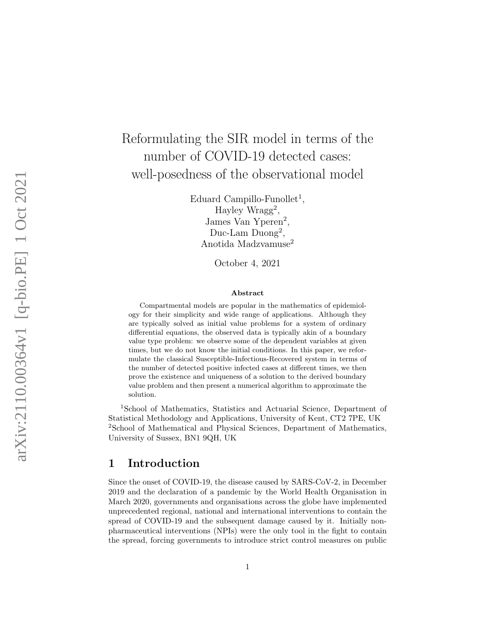# Reformulating the SIR model in terms of the number of COVID-19 detected cases: well-posedness of the observational model

Eduard Campillo-Funollet<sup>1</sup>, Hayley Wragg 2 , James Van Yperen 2 , Duc-Lam Duong 2 , Anotida Madzvamuse 2

October 4, 2021

#### Abstract

Compartmental models are popular in the mathematics of epidemiology for their simplicity and wide range of applications. Although they are typically solved as initial value problems for a system of ordinary differential equations, the observed data is typically akin of a boundary value type problem: we observe some of the dependent variables at given times, but we do not know the initial conditions. In this paper, we reformulate the classical Susceptible-Infectious-Recovered system in terms of the number of detected positive infected cases at different times, we then prove the existence and uniqueness of a solution to the derived boundary value problem and then present a numerical algorithm to approximate the solution.

<sup>1</sup>School of Mathematics, Statistics and Actuarial Science, Department of Statistical Methodology and Applications, University of Kent, CT2 7PE, UK <sup>2</sup>School of Mathematical and Physical Sciences, Department of Mathematics, University of Sussex, BN1 9QH, UK

## 1 Introduction

Since the onset of COVID-19, the disease caused by SARS-CoV-2, in December 2019 and the declaration of a pandemic by the World Health Organisation in March 2020, governments and organisations across the globe have implemented unprecedented regional, national and international interventions to contain the spread of COVID-19 and the subsequent damage caused by it. Initially nonpharmaceutical interventions (NPIs) were the only tool in the fight to contain the spread, forcing governments to introduce strict control measures on public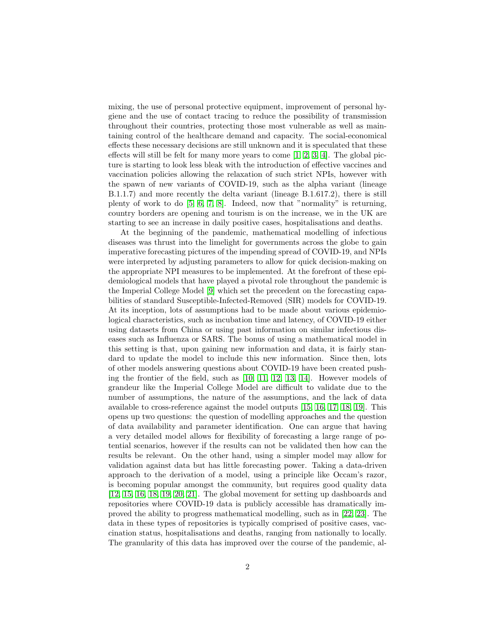mixing, the use of personal protective equipment, improvement of personal hygiene and the use of contact tracing to reduce the possibility of transmission throughout their countries, protecting those most vulnerable as well as maintaining control of the healthcare demand and capacity. The social-economical effects these necessary decisions are still unknown and it is speculated that these effects will still be felt for many more years to come [\[1,](#page-13-0) [2,](#page-13-1) [3,](#page-13-2) [4\]](#page-13-3). The global picture is starting to look less bleak with the introduction of effective vaccines and vaccination policies allowing the relaxation of such strict NPIs, however with the spawn of new variants of COVID-19, such as the alpha variant (lineage B.1.1.7) and more recently the delta variant (lineage B.1.617.2), there is still plenty of work to do [\[5,](#page-13-4) [6,](#page-13-5) [7,](#page-14-0) [8\]](#page-14-1). Indeed, now that "normality" is returning, country borders are opening and tourism is on the increase, we in the UK are starting to see an increase in daily positive cases, hospitalisations and deaths.

At the beginning of the pandemic, mathematical modelling of infectious diseases was thrust into the limelight for governments across the globe to gain imperative forecasting pictures of the impending spread of COVID-19, and NPIs were interpreted by adjusting parameters to allow for quick decision-making on the appropriate NPI measures to be implemented. At the forefront of these epidemiological models that have played a pivotal role throughout the pandemic is the Imperial College Model [\[9\]](#page-14-2) which set the precedent on the forecasting capabilities of standard Susceptible-Infected-Removed (SIR) models for COVID-19. At its inception, lots of assumptions had to be made about various epidemiological characteristics, such as incubation time and latency, of COVID-19 either using datasets from China or using past information on similar infectious diseases such as Influenza or SARS. The bonus of using a mathematical model in this setting is that, upon gaining new information and data, it is fairly standard to update the model to include this new information. Since then, lots of other models answering questions about COVID-19 have been created pushing the frontier of the field, such as [\[10,](#page-14-3) [11,](#page-14-4) [12,](#page-14-5) [13,](#page-14-6) [14\]](#page-14-7). However models of grandeur like the Imperial College Model are difficult to validate due to the number of assumptions, the nature of the assumptions, and the lack of data available to cross-reference against the model outputs [\[15,](#page-14-8) [16,](#page-14-9) [17,](#page-14-10) [18,](#page-14-11) [19\]](#page-15-0). This opens up two questions: the question of modelling approaches and the question of data availability and parameter identification. One can argue that having a very detailed model allows for flexibility of forecasting a large range of potential scenarios, however if the results can not be validated then how can the results be relevant. On the other hand, using a simpler model may allow for validation against data but has little forecasting power. Taking a data-driven approach to the derivation of a model, using a principle like Occam's razor, is becoming popular amongst the community, but requires good quality data [\[12,](#page-14-5) [15,](#page-14-8) [16,](#page-14-9) [18,](#page-14-11) [19,](#page-15-0) [20,](#page-15-1) [21\]](#page-15-2). The global movement for setting up dashboards and repositories where COVID-19 data is publicly accessible has dramatically improved the ability to progress mathematical modelling, such as in [\[22,](#page-15-3) [23\]](#page-15-4). The data in these types of repositories is typically comprised of positive cases, vaccination status, hospitalisations and deaths, ranging from nationally to locally. The granularity of this data has improved over the course of the pandemic, al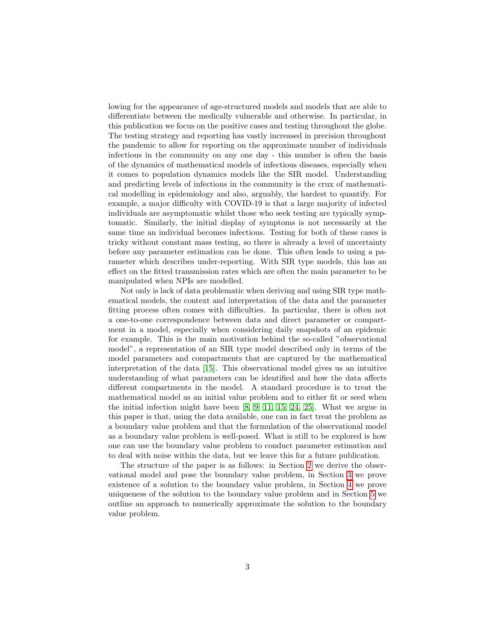lowing for the appearance of age-structured models and models that are able to differentiate between the medically vulnerable and otherwise. In particular, in this publication we focus on the positive cases and testing throughout the globe. The testing strategy and reporting has vastly increased in precision throughout the pandemic to allow for reporting on the approximate number of individuals infectious in the community on any one day - this number is often the basis of the dynamics of mathematical models of infectious diseases, especially when it comes to population dynamics models like the SIR model. Understanding and predicting levels of infections in the community is the crux of mathematical modelling in epidemiology and also, arguably, the hardest to quantify. For example, a major difficulty with COVID-19 is that a large majority of infected individuals are asymptomatic whilst those who seek testing are typically symptomatic. Similarly, the initial display of symptoms is not necessarily at the same time an individual becomes infectious. Testing for both of these cases is tricky without constant mass testing, so there is already a level of uncertainty before any parameter estimation can be done. This often leads to using a parameter which describes under-reporting. With SIR type models, this has an effect on the fitted transmission rates which are often the main parameter to be manipulated when NPIs are modelled.

Not only is lack of data problematic when deriving and using SIR type mathematical models, the context and interpretation of the data and the parameter fitting process often comes with difficulties. In particular, there is often not a one-to-one correspondence between data and direct parameter or compartment in a model, especially when considering daily snapshots of an epidemic for example. This is the main motivation behind the so-called "observational model", a representation of an SIR type model described only in terms of the model parameters and compartments that are captured by the mathematical interpretation of the data [\[15\]](#page-14-8). This observational model gives us an intuitive understanding of what parameters can be identified and how the data affects different compartments in the model. A standard procedure is to treat the mathematical model as an initial value problem and to either fit or seed when the initial infection might have been [\[8,](#page-14-1) [9,](#page-14-2) [11,](#page-14-4) [15,](#page-14-8) [24,](#page-15-5) [25\]](#page-15-6). What we argue in this paper is that, using the data available, one can in fact treat the problem as a boundary value problem and that the formulation of the observational model as a boundary value problem is well-posed. What is still to be explored is how one can use the boundary value problem to conduct parameter estimation and to deal with noise within the data, but we leave this for a future publication.

The structure of the paper is as follows: in Section [2](#page-3-0) we derive the observational model and pose the boundary value problem, in Section [3](#page-6-0) we prove existence of a solution to the boundary value problem, in Section [4](#page-9-0) we prove uniqueness of the solution to the boundary value problem and in Section [5](#page-10-0) we outline an approach to numerically approximate the solution to the boundary value problem.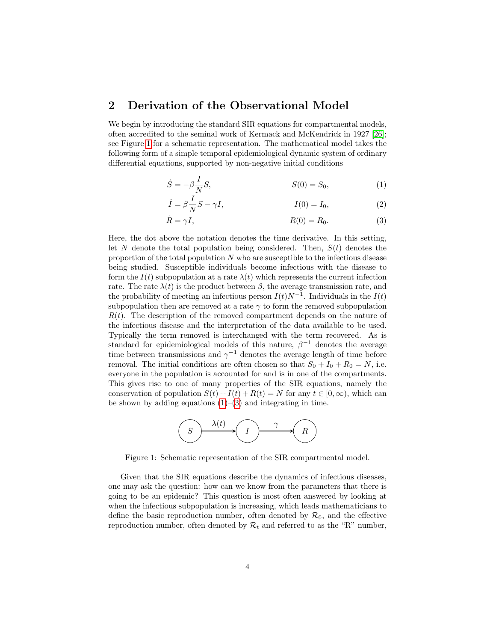### <span id="page-3-0"></span>2 Derivation of the Observational Model

We begin by introducing the standard SIR equations for compartmental models, often accredited to the seminal work of Kermack and McKendrick in 1927 [\[26\]](#page-15-7); see Figure [1](#page-3-1) for a schematic representation. The mathematical model takes the following form of a simple temporal epidemiological dynamic system of ordinary differential equations, supported by non-negative initial conditions

$$
\dot{S} = -\beta \frac{I}{N} S, \qquad S(0) = S_0, \qquad (1)
$$

<span id="page-3-4"></span><span id="page-3-3"></span><span id="page-3-2"></span>
$$
\dot{I} = \beta \frac{I}{N} S - \gamma I, \qquad I(0) = I_0,
$$
\n(2)

$$
\dot{R} = \gamma I, \qquad R(0) = R_0. \tag{3}
$$

Here, the dot above the notation denotes the time derivative. In this setting, let N denote the total population being considered. Then,  $S(t)$  denotes the proportion of the total population  $N$  who are susceptible to the infectious disease being studied. Susceptible individuals become infectious with the disease to form the  $I(t)$  subpopulation at a rate  $\lambda(t)$  which represents the current infection rate. The rate  $\lambda(t)$  is the product between  $\beta$ , the average transmission rate, and the probability of meeting an infectious person  $I(t)N^{-1}$ . Individuals in the  $I(t)$ subpopulation then are removed at a rate  $\gamma$  to form the removed subpopulation  $R(t)$ . The description of the removed compartment depends on the nature of the infectious disease and the interpretation of the data available to be used. Typically the term removed is interchanged with the term recovered. As is standard for epidemiological models of this nature,  $\beta^{-1}$  denotes the average time between transmissions and  $\gamma^{-1}$  denotes the average length of time before removal. The initial conditions are often chosen so that  $S_0 + I_0 + R_0 = N$ , i.e. everyone in the population is accounted for and is in one of the compartments. This gives rise to one of many properties of the SIR equations, namely the conservation of population  $S(t) + I(t) + R(t) = N$  for any  $t \in [0, \infty)$ , which can be shown by adding equations  $(1)$ – $(3)$  and integrating in time.

<span id="page-3-1"></span>

Figure 1: Schematic representation of the SIR compartmental model.

Given that the SIR equations describe the dynamics of infectious diseases, one may ask the question: how can we know from the parameters that there is going to be an epidemic? This question is most often answered by looking at when the infectious subpopulation is increasing, which leads mathematicians to define the basic reproduction number, often denoted by  $\mathcal{R}_0$ , and the effective reproduction number, often denoted by  $\mathcal{R}_t$  and referred to as the "R" number,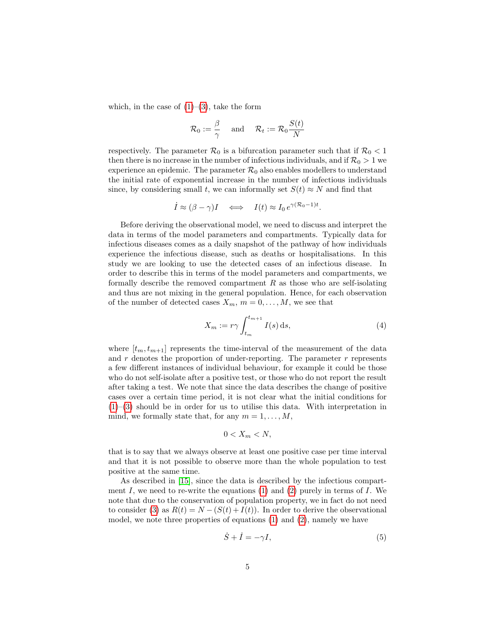which, in the case of  $(1)-(3)$  $(1)-(3)$  $(1)-(3)$ , take the form

$$
\mathcal{R}_0:=\frac{\beta}{\gamma}\quad\text{ and }\quad\mathcal{R}_t:=\mathcal{R}_0\frac{S(t)}{N}
$$

respectively. The parameter  $\mathcal{R}_0$  is a bifurcation parameter such that if  $\mathcal{R}_0 < 1$ then there is no increase in the number of infectious individuals, and if  $\mathcal{R}_0 > 1$  we experience an epidemic. The parameter  $\mathcal{R}_0$  also enables modellers to understand the initial rate of exponential increase in the number of infectious individuals since, by considering small t, we can informally set  $S(t) \approx N$  and find that

$$
\dot{I} \approx (\beta - \gamma)I \iff I(t) \approx I_0 e^{\gamma (\mathcal{R}_0 - 1)t}.
$$

Before deriving the observational model, we need to discuss and interpret the data in terms of the model parameters and compartments. Typically data for infectious diseases comes as a daily snapshot of the pathway of how individuals experience the infectious disease, such as deaths or hospitalisations. In this study we are looking to use the detected cases of an infectious disease. In order to describe this in terms of the model parameters and compartments, we formally describe the removed compartment  $R$  as those who are self-isolating and thus are not mixing in the general population. Hence, for each observation of the number of detected cases  $X_m$ ,  $m = 0, \ldots, M$ , we see that

<span id="page-4-1"></span>
$$
X_m := r\gamma \int_{t_m}^{t_{m+1}} I(s) \, \mathrm{d}s,\tag{4}
$$

where  $[t_m, t_{m+1}]$  represents the time-interval of the measurement of the data and  $r$  denotes the proportion of under-reporting. The parameter  $r$  represents a few different instances of individual behaviour, for example it could be those who do not self-isolate after a positive test, or those who do not report the result after taking a test. We note that since the data describes the change of positive cases over a certain time period, it is not clear what the initial conditions for  $(1)$ – $(3)$  should be in order for us to utilise this data. With interpretation in mind, we formally state that, for any  $m = 1, \ldots, M$ ,

$$
0 < X_m < N,
$$

that is to say that we always observe at least one positive case per time interval and that it is not possible to observe more than the whole population to test positive at the same time.

As described in [\[15\]](#page-14-8), since the data is described by the infectious compartment  $I$ , we need to re-write the equations [\(1\)](#page-3-2) and [\(2\)](#page-3-4) purely in terms of  $I$ . We note that due to the conservation of population property, we in fact do not need to consider [\(3\)](#page-3-3) as  $R(t) = N - (S(t) + I(t))$ . In order to derive the observational model, we note three properties of equations  $(1)$  and  $(2)$ , namely we have

<span id="page-4-0"></span>
$$
\dot{S} + \dot{I} = -\gamma I,\tag{5}
$$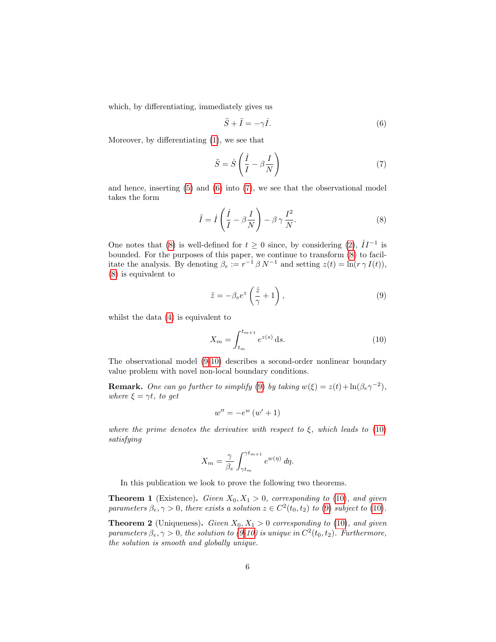which, by differentiating, immediately gives us

<span id="page-5-1"></span><span id="page-5-0"></span>
$$
\ddot{S} + \ddot{I} = -\gamma \dot{I}.
$$
\n(6)

Moreover, by differentiating [\(1\)](#page-3-2), we see that

<span id="page-5-2"></span>
$$
\ddot{S} = \dot{S} \left( \frac{\dot{I}}{I} - \beta \frac{I}{N} \right) \tag{7}
$$

and hence, inserting  $(5)$  and  $(6)$  into  $(7)$ , we see that the observational model takes the form

$$
\ddot{I} = \dot{I} \left( \frac{\dot{I}}{I} - \beta \frac{I}{N} \right) - \beta \gamma \frac{I^2}{N}.
$$
\n(8)

One notes that [\(8\)](#page-5-2) is well-defined for  $t \geq 0$  since, by considering [\(2\)](#page-3-4),  $\dot{I}I^{-1}$  is bounded. For the purposes of this paper, we continue to transform [\(8\)](#page-5-2) to facilitate the analysis. By denoting  $\beta_e := r^{-1} \beta N^{-1}$  and setting  $z(t) = \ln(r \gamma I(t)),$ [\(8\)](#page-5-2) is equivalent to

<span id="page-5-3"></span>
$$
\ddot{z} = -\beta_e e^z \left(\frac{\dot{z}}{\gamma} + 1\right),\tag{9}
$$

whilst the data [\(4\)](#page-4-1) is equivalent to

<span id="page-5-4"></span>
$$
X_m = \int_{t_m}^{t_{m+1}} e^{z(s)} \, \mathrm{d}s. \tag{10}
$$

The observational model [\(9-](#page-5-3)[10\)](#page-5-4) describes a second-order nonlinear boundary value problem with novel non-local boundary conditions.

**Remark.** One can go further to simplify [\(9\)](#page-5-3) by taking  $w(\xi) = z(t) + \ln(\beta_e \gamma^{-2})$ , where  $\xi = \gamma t$ , to get

$$
w'' = -e^w \left(w' + 1\right)
$$

where the prime denotes the derivative with respect to  $\xi$ , which leads to [\(10\)](#page-5-4) satisfying

$$
X_m = \frac{\gamma}{\beta_e} \int_{\gamma t_m}^{\gamma t_{m+1}} e^{w(\eta)} d\eta.
$$

In this publication we look to prove the following two theorems.

<span id="page-5-5"></span>**Theorem 1** (Existence). Given  $X_0, X_1 > 0$ , corresponding to [\(10\)](#page-5-4), and given parameters  $\beta_e, \gamma > 0$ , there exists a solution  $z \in C^2(t_0, t_2)$  to [\(9\)](#page-5-3) subject to [\(10\)](#page-5-4).

<span id="page-5-6"></span>**Theorem 2** (Uniqueness). Given  $X_0, X_1 > 0$  corresponding to [\(10\)](#page-5-4), and given parameters  $\beta_e, \gamma > 0$ , the solution to [\(9-](#page-5-3)[10\)](#page-5-4) is unique in  $C^2(t_0, t_2)$ . Furthermore, the solution is smooth and globally unique.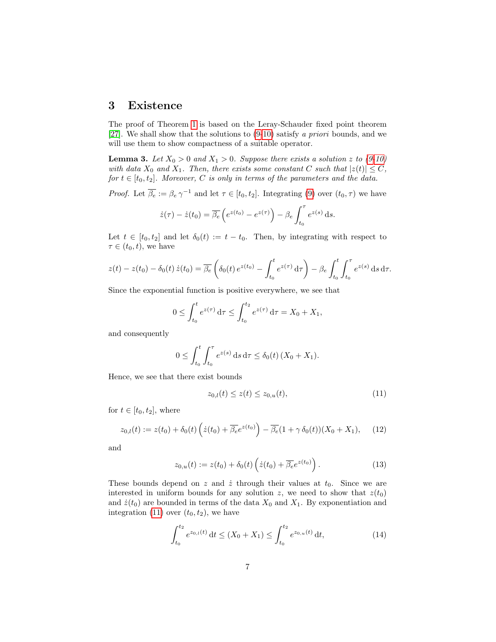#### <span id="page-6-0"></span>3 Existence

The proof of Theorem [1](#page-5-5) is based on the Leray-Schauder fixed point theorem [\[27\]](#page-15-8). We shall show that the solutions to  $(9-10)$  $(9-10)$  satisfy a priori bounds, and we will use them to show compactness of a suitable operator.

<span id="page-6-5"></span>**Lemma 3.** Let  $X_0 > 0$  and  $X_1 > 0$ . Suppose there exists a solution z to [\(9-](#page-5-3)[10\)](#page-5-4) with data  $X_0$  and  $X_1$ . Then, there exists some constant C such that  $|z(t)| \leq C$ , for  $t \in [t_0, t_2]$ . Moreover, C is only in terms of the parameters and the data.

*Proof.* Let  $\overline{\beta_e} := \beta_e \gamma^{-1}$  and let  $\tau \in [t_0, t_2]$ . Integrating [\(9\)](#page-5-3) over  $(t_0, \tau)$  we have

$$
\dot{z}(\tau) - \dot{z}(t_0) = \overline{\beta_e} \left( e^{z(t_0)} - e^{z(\tau)} \right) - \beta_e \int_{t_0}^{\tau} e^{z(s)} ds.
$$

Let  $t \in [t_0, t_2]$  and let  $\delta_0(t) := t - t_0$ . Then, by integrating with respect to  $\tau \in (t_0, t)$ , we have

$$
z(t) - z(t_0) - \delta_0(t) \dot{z}(t_0) = \overline{\beta_e} \left( \delta_0(t) e^{z(t_0)} - \int_{t_0}^t e^{z(\tau)} d\tau \right) - \beta_e \int_{t_0}^t \int_{t_0}^\tau e^{z(s)} ds d\tau.
$$

Since the exponential function is positive everywhere, we see that

$$
0 \le \int_{t_0}^t e^{z(\tau)} d\tau \le \int_{t_0}^{t_2} e^{z(\tau)} d\tau = X_0 + X_1,
$$

and consequently

$$
0 \le \int_{t_0}^t \int_{t_0}^\tau e^{z(s)} \, \mathrm{d} s \, \mathrm{d} \tau \le \delta_0(t) \, (X_0 + X_1).
$$

Hence, we see that there exist bounds

<span id="page-6-4"></span><span id="page-6-2"></span><span id="page-6-1"></span>
$$
z_{0,l}(t) \le z(t) \le z_{0,u}(t),\tag{11}
$$

for  $t \in [t_0, t_2]$ , where

$$
z_{0,l}(t) := z(t_0) + \delta_0(t) \left( \dot{z}(t_0) + \overline{\beta_e} e^{z(t_0)} \right) - \overline{\beta_e} (1 + \gamma \delta_0(t)) (X_0 + X_1), \quad (12)
$$

and

$$
z_{0,u}(t) := z(t_0) + \delta_0(t) \left( \dot{z}(t_0) + \overline{\beta_e} e^{z(t_0)} \right). \tag{13}
$$

These bounds depend on z and  $\dot{z}$  through their values at  $t_0$ . Since we are interested in uniform bounds for any solution z, we need to show that  $z(t_0)$ and  $\dot{z}(t_0)$  are bounded in terms of the data  $X_0$  and  $X_1$ . By exponentiation and integration [\(11\)](#page-6-1) over  $(t_0, t_2)$ , we have

<span id="page-6-3"></span>
$$
\int_{t_0}^{t_2} e^{z_{0,l}(t)} dt \le (X_0 + X_1) \le \int_{t_0}^{t_2} e^{z_{0,u}(t)} dt,
$$
\n(14)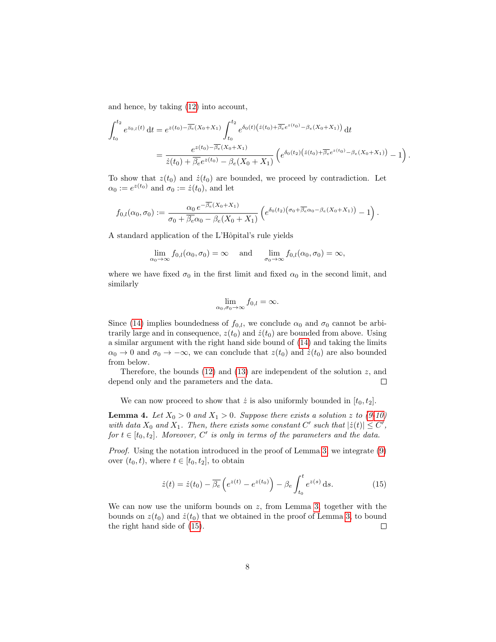and hence, by taking [\(12\)](#page-6-2) into account,

$$
\int_{t_0}^{t_2} e^{z_{0,l}(t)} dt = e^{z(t_0) - \overline{\beta_e}(X_0 + X_1)} \int_{t_0}^{t_2} e^{\delta_0(t) \left( \dot{z}(t_0) + \overline{\beta_e} e^{z(t_0)} - \beta_e(X_0 + X_1) \right)} dt
$$
\n
$$
= \frac{e^{z(t_0) - \overline{\beta_e}(X_0 + X_1)}}{\dot{z}(t_0) + \overline{\beta_e} e^{z(t_0)} - \beta_e(X_0 + X_1)} \left( e^{\delta_0(t_2) \left( \dot{z}(t_0) + \overline{\beta_e} e^{z(t_0)} - \beta_e(X_0 + X_1) \right)} - 1 \right).
$$

To show that  $z(t_0)$  and  $\dot{z}(t_0)$  are bounded, we proceed by contradiction. Let  $\alpha_0 := e^{z(t_0)}$  and  $\sigma_0 := \dot{z}(t_0)$ , and let

$$
f_{0,l}(\alpha_0,\sigma_0):=\frac{\alpha_0 e^{-\overline{\beta_e}(X_0+X_1)}}{\sigma_0+\overline{\beta_e}\alpha_0-\beta_e(X_0+X_1)}\left(e^{\delta_0(t_2)(\sigma_0+\overline{\beta_e}\alpha_0-\beta_e(X_0+X_1))}-1\right).
$$

A standard application of the L'Hôpital's rule yields

$$
\lim_{\alpha_0 \to \infty} f_{0,l}(\alpha_0, \sigma_0) = \infty \quad \text{ and } \quad \lim_{\sigma_0 \to \infty} f_{0,l}(\alpha_0, \sigma_0) = \infty,
$$

where we have fixed  $\sigma_0$  in the first limit and fixed  $\alpha_0$  in the second limit, and similarly

$$
\lim_{\alpha_0,\sigma_0\to\infty}f_{0,l}=\infty.
$$

Since [\(14\)](#page-6-3) implies boundedness of  $f_{0,l}$ , we conclude  $\alpha_0$  and  $\sigma_0$  cannot be arbitrarily large and in consequence,  $z(t_0)$  and  $\dot{z}(t_0)$  are bounded from above. Using a similar argument with the right hand side bound of [\(14\)](#page-6-3) and taking the limits  $\alpha_0 \to 0$  and  $\sigma_0 \to -\infty$ , we can conclude that  $z(t_0)$  and  $\dot{z}(t_0)$  are also bounded from below.

Therefore, the bounds [\(12\)](#page-6-2) and [\(13\)](#page-6-4) are independent of the solution  $z$ , and depend only and the parameters and the data.  $\Box$ 

We can now proceed to show that  $\dot{z}$  is also uniformly bounded in  $[t_0, t_2]$ .

**Lemma 4.** Let  $X_0 > 0$  and  $X_1 > 0$ . Suppose there exists a solution z to [\(9-](#page-5-3)[10\)](#page-5-4) with data  $X_0$  and  $X_1$ . Then, there exists some constant C' such that  $|\dot{z}(t)| \leq C'$ , for  $t \in [t_0, t_2]$ . Moreover, C' is only in terms of the parameters and the data.

Proof. Using the notation introduced in the proof of Lemma [3,](#page-6-5) we integrate [\(9\)](#page-5-3) over  $(t_0, t)$ , where  $t \in [t_0, t_2]$ , to obtain

<span id="page-7-0"></span>
$$
\dot{z}(t) = \dot{z}(t_0) - \overline{\beta_e}\left(e^{z(t)} - e^{z(t_0)}\right) - \beta_e \int_{t_0}^t e^{z(s)} \,ds. \tag{15}
$$

We can now use the uniform bounds on  $z$ , from Lemma [3,](#page-6-5) together with the bounds on  $z(t_0)$  and  $\dot{z}(t_0)$  that we obtained in the proof of Lemma [3,](#page-6-5) to bound the right hand side of [\(15\)](#page-7-0).  $\Box$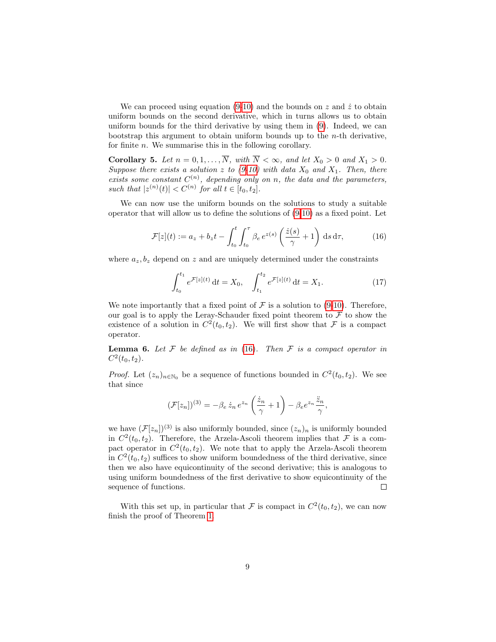We can proceed using equation [\(9-](#page-5-3)[10\)](#page-5-4) and the bounds on z and  $\dot{z}$  to obtain uniform bounds on the second derivative, which in turns allows us to obtain uniform bounds for the third derivative by using them in [\(9\)](#page-5-3). Indeed, we can bootstrap this argument to obtain uniform bounds up to the  $n$ -th derivative, for finite n. We summarise this in the following corollary.

**Corollary 5.** Let  $n = 0, 1, ..., \overline{N}$ , with  $\overline{N} < \infty$ , and let  $X_0 > 0$  and  $X_1 > 0$ . Suppose there exists a solution z to  $(9-10)$  $(9-10)$  with data  $X_0$  and  $X_1$ . Then, there exists some constant  $C^{(n)}$ , depending only on n, the data and the parameters, such that  $|z^{(n)}(t)| < C^{(n)}$  for all  $t \in [t_0, t_2]$ .

We can now use the uniform bounds on the solutions to study a suitable operator that will allow us to define the solutions of [\(9-](#page-5-3)[10\)](#page-5-4) as a fixed point. Let

$$
\mathcal{F}[z](t) := a_z + b_z t - \int_{t_0}^t \int_{t_0}^\tau \beta_e e^{z(s)} \left(\frac{\dot{z}(s)}{\gamma} + 1\right) ds d\tau, \tag{16}
$$

where  $a_z, b_z$  depend on z and are uniquely determined under the constraints

<span id="page-8-0"></span>
$$
\int_{t_0}^{t_1} e^{\mathcal{F}[z](t)} dt = X_0, \quad \int_{t_1}^{t_2} e^{\mathcal{F}[z](t)} dt = X_1.
$$
 (17)

We note importantly that a fixed point of  $\mathcal F$  is a solution to [\(9](#page-5-3)[-10\)](#page-5-4). Therefore, our goal is to apply the Leray-Schauder fixed point theorem to  $\mathcal F$  to show the existence of a solution in  $C^2(t_0, t_2)$ . We will first show that F is a compact operator.

**Lemma 6.** Let  $\mathcal F$  be defined as in [\(16\)](#page-8-0). Then  $\mathcal F$  is a compact operator in  $C^2(t_0, t_2)$ .

*Proof.* Let  $(z_n)_{n \in \mathbb{N}_0}$  be a sequence of functions bounded in  $C^2(t_0, t_2)$ . We see that since

$$
(\mathcal{F}[z_n])^{(3)} = -\beta_e \,\dot{z}_n \, e^{z_n} \left(\frac{\dot{z}_n}{\gamma} + 1\right) - \beta_e e^{z_n} \frac{\ddot{z}_n}{\gamma},
$$

we have  $(\mathcal{F}[z_n])^{(3)}$  is also uniformly bounded, since  $(z_n)_n$  is uniformly bounded in  $C^2(t_0, t_2)$ . Therefore, the Arzela-Ascoli theorem implies that F is a compact operator in  $C^2(t_0, t_2)$ . We note that to apply the Arzela-Ascoli theorem in  $C^2(t_0, t_2)$  suffices to show uniform boundedness of the third derivative, since then we also have equicontinuity of the second derivative; this is analogous to using uniform boundedness of the first derivative to show equicontinuity of the sequence of functions.  $\Box$ 

With this set up, in particular that F is compact in  $C^2(t_0, t_2)$ , we can now finish the proof of Theorem [1.](#page-5-5)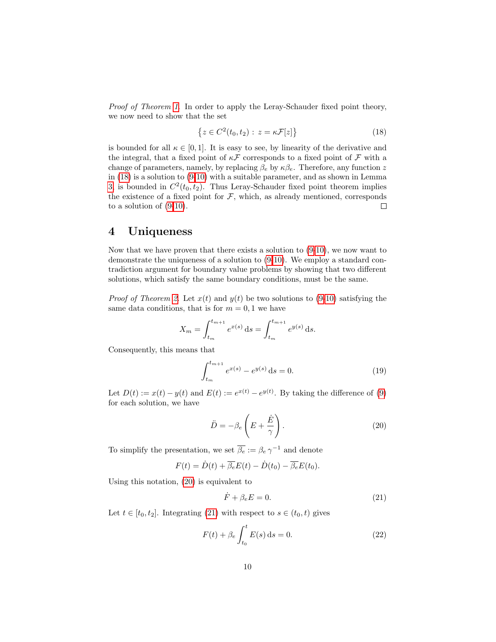Proof of Theorem [1](#page-5-5). In order to apply the Leray-Schauder fixed point theory, we now need to show that the set

<span id="page-9-1"></span>
$$
\{z \in C^2(t_0, t_2) : z = \kappa \mathcal{F}[z]\}\tag{18}
$$

is bounded for all  $\kappa \in [0,1]$ . It is easy to see, by linearity of the derivative and the integral, that a fixed point of  $\kappa \mathcal{F}$  corresponds to a fixed point of  $\mathcal F$  with a change of parameters, namely, by replacing  $\beta_e$  by  $\kappa \beta_e$ . Therefore, any function z in [\(18\)](#page-9-1) is a solution to [\(9](#page-5-3)[-10\)](#page-5-4) with a suitable parameter, and as shown in Lemma [3,](#page-6-5) is bounded in  $C^2(t_0, t_2)$ . Thus Leray-Schauder fixed point theorem implies the existence of a fixed point for  $F$ , which, as already mentioned, corresponds to a solution of [\(9](#page-5-3)[-10\)](#page-5-4).  $\Box$ 

# <span id="page-9-0"></span>4 Uniqueness

Now that we have proven that there exists a solution to [\(9-](#page-5-3)[10\)](#page-5-4), we now want to demonstrate the uniqueness of a solution to [\(9-](#page-5-3)[10\)](#page-5-4). We employ a standard contradiction argument for boundary value problems by showing that two different solutions, which satisfy the same boundary conditions, must be the same.

*Proof of Theorem [2.](#page-5-6)* Let  $x(t)$  and  $y(t)$  be two solutions to [\(9-](#page-5-3)[10\)](#page-5-4) satisfying the same data conditions, that is for  $m = 0, 1$  we have

$$
X_m = \int_{t_m}^{t_{m+1}} e^{x(s)} ds = \int_{t_m}^{t_{m+1}} e^{y(s)} ds.
$$

Consequently, this means that

$$
\int_{t_m}^{t_{m+1}} e^{x(s)} - e^{y(s)} ds = 0.
$$
 (19)

Let  $D(t) := x(t) - y(t)$  and  $E(t) := e^{x(t)} - e^{y(t)}$ . By taking the difference of [\(9\)](#page-5-3) for each solution, we have

<span id="page-9-4"></span><span id="page-9-2"></span>
$$
\ddot{D} = -\beta_e \left( E + \frac{\dot{E}}{\gamma} \right). \tag{20}
$$

To simplify the presentation, we set  $\overline{\beta_e} := \beta_e \gamma^{-1}$  and denote

$$
F(t) = \dot{D}(t) + \overline{\beta_e}E(t) - \dot{D}(t_0) - \overline{\beta_e}E(t_0).
$$

Using this notation, [\(20\)](#page-9-2) is equivalent to

<span id="page-9-5"></span><span id="page-9-3"></span>
$$
\dot{F} + \beta_e E = 0. \tag{21}
$$

Let  $t \in [t_0, t_2]$ . Integrating [\(21\)](#page-9-3) with respect to  $s \in (t_0, t)$  gives

$$
F(t) + \beta_e \int_{t_0}^t E(s) \, ds = 0.
$$
 (22)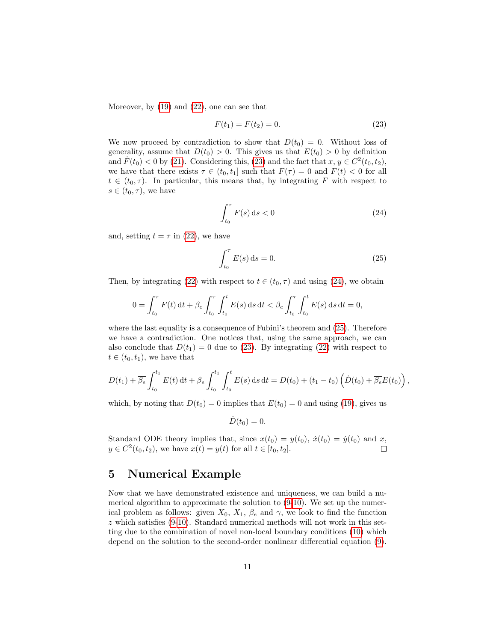Moreover, by [\(19\)](#page-9-4) and [\(22\)](#page-9-5), one can see that

<span id="page-10-1"></span>
$$
F(t_1) = F(t_2) = 0.
$$
\n(23)

We now proceed by contradiction to show that  $D(t_0) = 0$ . Without loss of generality, assume that  $D(t_0) > 0$ . This gives us that  $E(t_0) > 0$  by definition and  $\dot{F}(t_0) < 0$  by [\(21\)](#page-9-3). Considering this, [\(23\)](#page-10-1) and the fact that  $x, y \in C^2(t_0, t_2)$ , we have that there exists  $\tau \in (t_0, t_1]$  such that  $F(\tau) = 0$  and  $F(t) < 0$  for all  $t \in (t_0, \tau)$ . In particular, this means that, by integrating F with respect to  $s \in (t_0, \tau)$ , we have

<span id="page-10-2"></span>
$$
\int_{t_0}^{\tau} F(s) \, \mathrm{d}s < 0 \tag{24}
$$

and, setting  $t = \tau$  in [\(22\)](#page-9-5), we have

$$
\int_{t_0}^{\tau} E(s) \, \mathrm{d}s = 0. \tag{25}
$$

<span id="page-10-3"></span>,

Then, by integrating [\(22\)](#page-9-5) with respect to  $t \in (t_0, \tau)$  and using [\(24\)](#page-10-2), we obtain

$$
0 = \int_{t_0}^{\tau} F(t) dt + \beta_e \int_{t_0}^{\tau} \int_{t_0}^{t} E(s) ds dt < \beta_e \int_{t_0}^{\tau} \int_{t_0}^{t} E(s) ds dt = 0,
$$

where the last equality is a consequence of Fubini's theorem and [\(25\)](#page-10-3). Therefore we have a contradiction. One notices that, using the same approach, we can also conclude that  $D(t_1) = 0$  due to [\(23\)](#page-10-1). By integrating [\(22\)](#page-9-5) with respect to  $t \in (t_0, t_1)$ , we have that

$$
D(t_1) + \overline{\beta_e} \int_{t_0}^{t_1} E(t) dt + \beta_e \int_{t_0}^{t_1} \int_{t_0}^t E(s) ds dt = D(t_0) + (t_1 - t_0) \left( \dot{D}(t_0) + \overline{\beta_e} E(t_0) \right)
$$

which, by noting that  $D(t_0) = 0$  implies that  $E(t_0) = 0$  and using [\(19\)](#page-9-4), gives us

$$
\dot{D}(t_0) = 0.
$$

Standard ODE theory implies that, since  $x(t_0) = y(t_0)$ ,  $\dot{x}(t_0) = \dot{y}(t_0)$  and x,  $y \in C^2(t_0, t_2)$ , we have  $x(t) = y(t)$  for all  $t \in [t_0, t_2]$ .  $\Box$ 

## <span id="page-10-0"></span>5 Numerical Example

Now that we have demonstrated existence and uniqueness, we can build a numerical algorithm to approximate the solution to [\(9-](#page-5-3)[10\)](#page-5-4). We set up the numerical problem as follows: given  $X_0$ ,  $X_1$ ,  $\beta_e$  and  $\gamma$ , we look to find the function  $z$  which satisfies [\(9-](#page-5-3)[10\)](#page-5-4). Standard numerical methods will not work in this setting due to the combination of novel non-local boundary conditions [\(10\)](#page-5-4) which depend on the solution to the second-order nonlinear differential equation [\(9\)](#page-5-3).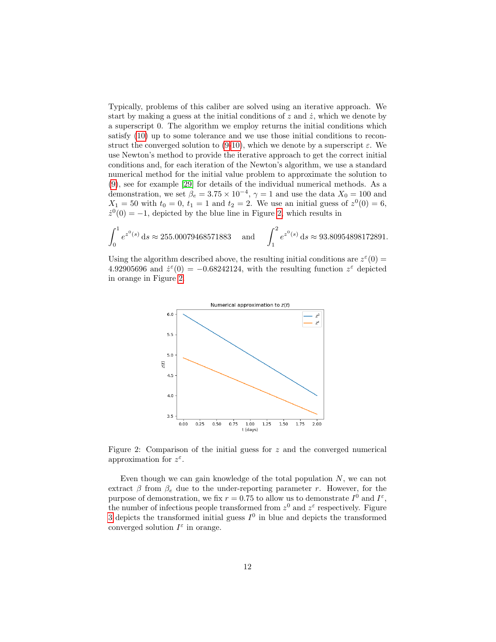Typically, problems of this caliber are solved using an iterative approach. We start by making a guess at the initial conditions of  $z$  and  $\dot{z}$ , which we denote by a superscript 0. The algorithm we employ returns the initial conditions which satisfy [\(10\)](#page-5-4) up to some tolerance and we use those initial conditions to recon-struct the converged solution to [\(9-](#page-5-3)[10\)](#page-5-4), which we denote by a superscript  $\varepsilon$ . We use Newton's method to provide the iterative approach to get the correct initial conditions and, for each iteration of the Newton's algorithm, we use a standard numerical method for the initial value problem to approximate the solution to [\(9\)](#page-5-3), see for example [\[29\]](#page-15-9) for details of the individual numerical methods. As a demonstration, we set  $\beta_e = 3.75 \times 10^{-4}$ ,  $\gamma = 1$  and use the data  $X_0 = 100$  and  $X_1 = 50$  with  $t_0 = 0, t_1 = 1$  and  $t_2 = 2$ . We use an initial guess of  $z^0(0) = 6$ ,  $\dot{z}^0(0) = -1$ , depicted by the blue line in Figure [2,](#page-11-0) which results in

$$
\int_0^1 e^{z^0(s)} ds \approx 255.00079468571883 \quad \text{and} \quad \int_1^2 e^{z^0(s)} ds \approx 93.80954898172891.
$$

Using the algorithm described above, the resulting initial conditions are  $z^{\epsilon}(0)$  = 4.92905696 and  $\dot{z}^{\epsilon}(0) = -0.68242124$ , with the resulting function  $z^{\epsilon}$  depicted in orange in Figure [2.](#page-11-0)



<span id="page-11-0"></span>Figure 2: Comparison of the initial guess for  $z$  and the converged numerical approximation for  $z^{\varepsilon}$ .

Even though we can gain knowledge of the total population  $N$ , we can not extract  $\beta$  from  $\beta_e$  due to the under-reporting parameter r. However, for the purpose of demonstration, we fix  $r = 0.75$  to allow us to demonstrate  $I^0$  and  $I^{\varepsilon}$ , the number of infectious people transformed from  $z^0$  and  $z^{\varepsilon}$  respectively. Figure [3](#page-12-0) depicts the transformed initial guess  $I^0$  in blue and depicts the transformed converged solution  $I^{\varepsilon}$  in orange.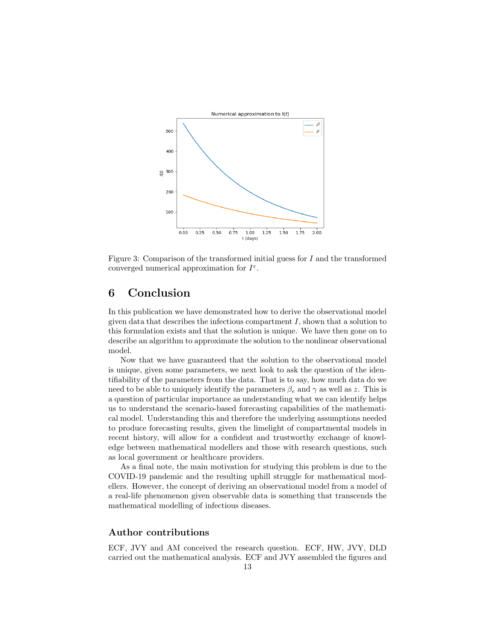

<span id="page-12-0"></span>Figure 3: Comparison of the transformed initial guess for I and the transformed converged numerical approximation for  $I^{\varepsilon}$ .

## 6 Conclusion

In this publication we have demonstrated how to derive the observational model given data that describes the infectious compartment  $I$ , shown that a solution to this formulation exists and that the solution is unique. We have then gone on to describe an algorithm to approximate the solution to the nonlinear observational model.

Now that we have guaranteed that the solution to the observational model is unique, given some parameters, we next look to ask the question of the identifiability of the parameters from the data. That is to say, how much data do we need to be able to uniquely identify the parameters  $\beta_e$  and  $\gamma$  as well as z. This is a question of particular importance as understanding what we can identify helps us to understand the scenario-based forecasting capabilities of the mathematical model. Understanding this and therefore the underlying assumptions needed to produce forecasting results, given the limelight of compartmental models in recent history, will allow for a confident and trustworthy exchange of knowledge between mathematical modellers and those with research questions, such as local government or healthcare providers.

As a final note, the main motivation for studying this problem is due to the COVID-19 pandemic and the resulting uphill struggle for mathematical modellers. However, the concept of deriving an observational model from a model of a real-life phenomenon given observable data is something that transcends the mathematical modelling of infectious diseases.

#### Author contributions

ECF, JVY and AM conceived the research question. ECF, HW, JVY, DLD carried out the mathematical analysis. ECF and JVY assembled the figures and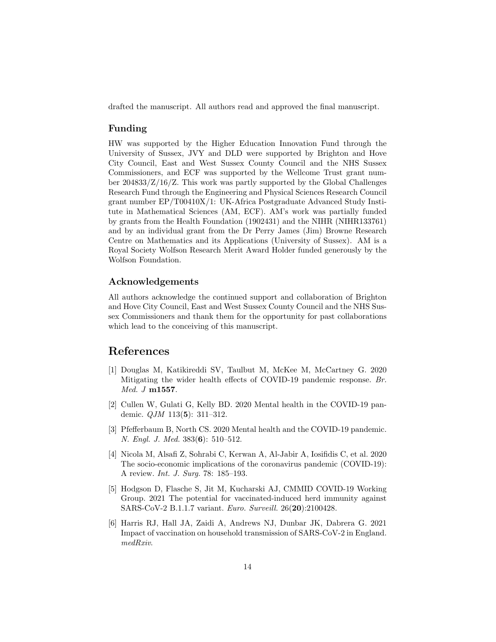drafted the manuscript. All authors read and approved the final manuscript.

#### Funding

HW was supported by the Higher Education Innovation Fund through the University of Sussex, JVY and DLD were supported by Brighton and Hove City Council, East and West Sussex County Council and the NHS Sussex Commissioners, and ECF was supported by the Wellcome Trust grant number 204833/Z/16/Z. This work was partly supported by the Global Challenges Research Fund through the Engineering and Physical Sciences Research Council grant number EP/T00410X/1: UK-Africa Postgraduate Advanced Study Institute in Mathematical Sciences (AM, ECF). AM's work was partially funded by grants from the Health Foundation (1902431) and the NIHR (NIHR133761) and by an individual grant from the Dr Perry James (Jim) Browne Research Centre on Mathematics and its Applications (University of Sussex). AM is a Royal Society Wolfson Research Merit Award Holder funded generously by the Wolfson Foundation.

#### Acknowledgements

All authors acknowledge the continued support and collaboration of Brighton and Hove City Council, East and West Sussex County Council and the NHS Sussex Commissioners and thank them for the opportunity for past collaborations which lead to the conceiving of this manuscript.

## References

- <span id="page-13-0"></span>[1] Douglas M, Katikireddi SV, Taulbut M, McKee M, McCartney G. 2020 Mitigating the wider health effects of COVID-19 pandemic response. Br. Med. J m1557.
- <span id="page-13-1"></span>[2] Cullen W, Gulati G, Kelly BD. 2020 Mental health in the COVID-19 pandemic. QJM 113(5): 311–312.
- <span id="page-13-2"></span>[3] Pfefferbaum B, North CS. 2020 Mental health and the COVID-19 pandemic. N. Engl. J. Med. 383(6): 510–512.
- <span id="page-13-3"></span>[4] Nicola M, Alsafi Z, Sohrabi C, Kerwan A, Al-Jabir A, Iosifidis C, et al. 2020 The socio-economic implications of the coronavirus pandemic (COVID-19): A review. Int. J. Surg. 78: 185–193.
- <span id="page-13-4"></span>[5] Hodgson D, Flasche S, Jit M, Kucharski AJ, CMMID COVID-19 Working Group. 2021 The potential for vaccinated-induced herd immunity against SARS-CoV-2 B.1.1.7 variant. Euro. Surveill. 26(20):2100428.
- <span id="page-13-5"></span>[6] Harris RJ, Hall JA, Zaidi A, Andrews NJ, Dunbar JK, Dabrera G. 2021 Impact of vaccination on household transmission of SARS-CoV-2 in England. medRxiv.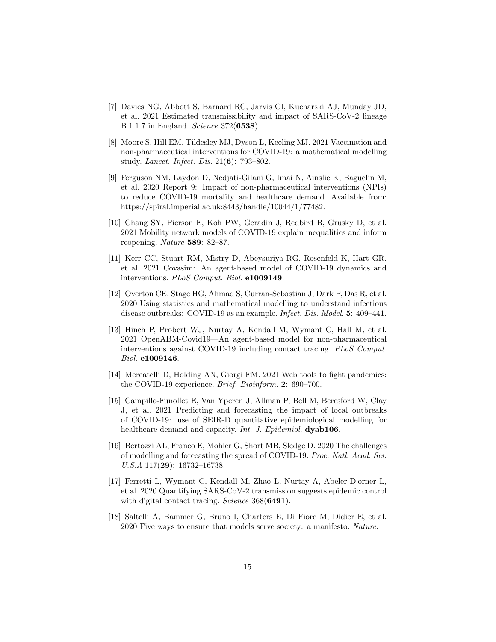- <span id="page-14-0"></span>[7] Davies NG, Abbott S, Barnard RC, Jarvis CI, Kucharski AJ, Munday JD, et al. 2021 Estimated transmissibility and impact of SARS-CoV-2 lineage B.1.1.7 in England. Science 372(6538).
- <span id="page-14-1"></span>[8] Moore S, Hill EM, Tildesley MJ, Dyson L, Keeling MJ. 2021 Vaccination and non-pharmaceutical interventions for COVID-19: a mathematical modelling study. Lancet. Infect. Dis. 21(6): 793–802.
- <span id="page-14-2"></span>[9] Ferguson NM, Laydon D, Nedjati-Gilani G, Imai N, Ainslie K, Baguelin M, et al. 2020 Report 9: Impact of non-pharmaceutical interventions (NPIs) to reduce COVID-19 mortality and healthcare demand. Available from: https://spiral.imperial.ac.uk:8443/handle/10044/1/77482.
- <span id="page-14-3"></span>[10] Chang SY, Pierson E, Koh PW, Geradin J, Redbird B, Grusky D, et al. 2021 Mobility network models of COVID-19 explain inequalities and inform reopening. Nature 589: 82–87.
- <span id="page-14-4"></span>[11] Kerr CC, Stuart RM, Mistry D, Abeysuriya RG, Rosenfeld K, Hart GR, et al. 2021 Covasim: An agent-based model of COVID-19 dynamics and interventions. PLoS Comput. Biol. e1009149.
- <span id="page-14-5"></span>[12] Overton CE, Stage HG, Ahmad S, Curran-Sebastian J, Dark P, Das R, et al. 2020 Using statistics and mathematical modelling to understand infectious disease outbreaks: COVID-19 as an example. Infect. Dis. Model. 5: 409–441.
- <span id="page-14-6"></span>[13] Hinch P, Probert WJ, Nurtay A, Kendall M, Wymant C, Hall M, et al. 2021 OpenABM-Covid19—An agent-based model for non-pharmaceutical interventions against COVID-19 including contact tracing. PLoS Comput. Biol. e1009146.
- <span id="page-14-7"></span>[14] Mercatelli D, Holding AN, Giorgi FM. 2021 Web tools to fight pandemics: the COVID-19 experience. Brief. Bioinform. 2: 690–700.
- <span id="page-14-8"></span>[15] Campillo-Funollet E, Van Yperen J, Allman P, Bell M, Beresford W, Clay J, et al. 2021 Predicting and forecasting the impact of local outbreaks of COVID-19: use of SEIR-D quantitative epidemiological modelling for healthcare demand and capacity. *Int. J. Epidemiol*. **dyab106**.
- <span id="page-14-9"></span>[16] Bertozzi AL, Franco E, Mohler G, Short MB, Sledge D. 2020 The challenges of modelling and forecasting the spread of COVID-19. Proc. Natl. Acad. Sci. U.S.A 117(29): 16732–16738.
- <span id="page-14-10"></span>[17] Ferretti L, Wymant C, Kendall M, Zhao L, Nurtay A, Abeler-D orner L, et al. 2020 Quantifying SARS-CoV-2 transmission suggests epidemic control with digital contact tracing. *Science* 368(**6491**).
- <span id="page-14-11"></span>[18] Saltelli A, Bammer G, Bruno I, Charters E, Di Fiore M, Didier E, et al. 2020 Five ways to ensure that models serve society: a manifesto. Nature.